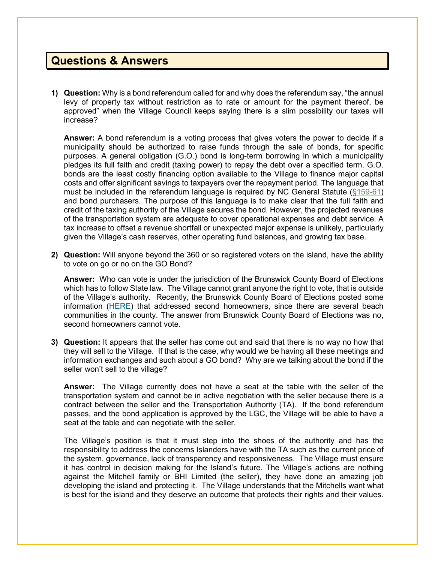## **Questions & Answers**

**1) Question:** Why is a bond referendum called for and why does the referendum say, "the annual levy of property tax without restriction as to rate or amount for the payment thereof, be approved" when the Village Council keeps saying there is a slim possibility our taxes will increase?

**Answer:** A bond referendum is a voting process that gives voters the power to decide if a municipality should be authorized to raise funds through the sale of bonds, for specific purposes. A general obligation (G.O.) bond is long-term borrowing in which a municipality pledges its full faith and credit (taxing power) to repay the debt over a specified term. G.O. bonds are the least costly financing option available to the Village to finance major capital costs and offer significant savings to taxpayers over the repayment period. The language that must be included in the referendum language is required by NC General Statute [\(§159-61\)](https://www.ncleg.gov/EnactedLegislation/Statutes/HTML/BySection/Chapter_159/GS_159-61.html) and bond purchasers. The purpose of this language is to make clear that the full faith and credit of the taxing authority of the Village secures the bond. However, the projected revenues of the transportation system are adequate to cover operational expenses and debt service. A tax increase to offset a revenue shortfall or unexpected major expense is unlikely, particularly given the Village's cash reserves, other operating fund balances, and growing tax base.

**2) Question:** Will anyone beyond the 360 or so registered voters on the island, have the ability to vote on go or no on the GO Bond?

**Answer:** Who can vote is under the jurisdiction of the Brunswick County Board of Elections which has to follow State law. The Village cannot grant anyone the right to vote, that is outside of the Village's authority. Recently, the Brunswick County Board of Elections posted some information [\(HERE\)](https://www.brunswickcountync.gov/clarification-on-voter-residency-requirements/) that addressed second homeowners, since there are several beach communities in the county. The answer from Brunswick County Board of Elections was no, second homeowners cannot vote.

**3) Question:** It appears that the seller has come out and said that there is no way no how that they will sell to the Village. If that is the case, why would we be having all these meetings and information exchanges and such about a GO bond? Why are we talking about the bond if the seller won't sell to the village?

**Answer:** The Village currently does not have a seat at the table with the seller of the transportation system and cannot be in active negotiation with the seller because there is a contract between the seller and the Transportation Authority (TA). If the bond referendum passes, and the bond application is approved by the LGC, the Village will be able to have a seat at the table and can negotiate with the seller.

The Village's position is that it must step into the shoes of the authority and has the responsibility to address the concerns Islanders have with the TA such as the current price of the system, governance, lack of transparency and responsiveness. The Village must ensure it has control in decision making for the Island's future. The Village's actions are nothing against the Mitchell family or BHI Limited (the seller), they have done an amazing job developing the island and protecting it. The Village understands that the Mitchells want what is best for the island and they deserve an outcome that protects their rights and their values.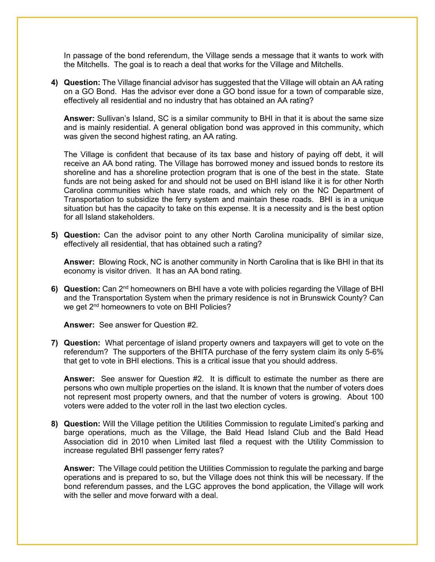In passage of the bond referendum, the Village sends a message that it wants to work with the Mitchells. The goal is to reach a deal that works for the Village and Mitchells.

**4) Question:** The Village financial advisor has suggested that the Village will obtain an AA rating on a GO Bond. Has the advisor ever done a GO bond issue for a town of comparable size, effectively all residential and no industry that has obtained an AA rating?

**Answer:** Sullivan's Island, SC is a similar community to BHI in that it is about the same size and is mainly residential. A general obligation bond was approved in this community, which was given the second highest rating, an AA rating.

The Village is confident that because of its tax base and history of paying off debt, it will receive an AA bond rating. The Village has borrowed money and issued bonds to restore its shoreline and has a shoreline protection program that is one of the best in the state. State funds are not being asked for and should not be used on BHI island like it is for other North Carolina communities which have state roads, and which rely on the NC Department of Transportation to subsidize the ferry system and maintain these roads. BHI is in a unique situation but has the capacity to take on this expense. It is a necessity and is the best option for all Island stakeholders.

**5) Question:** Can the advisor point to any other North Carolina municipality of similar size, effectively all residential, that has obtained such a rating?

**Answer:** Blowing Rock, NC is another community in North Carolina that is like BHI in that its economy is visitor driven. It has an AA bond rating.

**6) Question:** Can 2nd homeowners on BHI have a vote with policies regarding the Village of BHI and the Transportation System when the primary residence is not in Brunswick County? Can we get 2<sup>nd</sup> homeowners to vote on BHI Policies?

**Answer:** See answer for Question #2.

**7) Question:** What percentage of island property owners and taxpayers will get to vote on the referendum? The supporters of the BHITA purchase of the ferry system claim its only 5-6% that get to vote in BHI elections. This is a critical issue that you should address.

**Answer:** See answer for Question #2. It is difficult to estimate the number as there are persons who own multiple properties on the island. It is known that the number of voters does not represent most property owners, and that the number of voters is growing. About 100 voters were added to the voter roll in the last two election cycles.

**8) Question:** Will the Village petition the Utilities Commission to regulate Limited's parking and barge operations, much as the Village, the Bald Head Island Club and the Bald Head Association did in 2010 when Limited last filed a request with the Utility Commission to increase regulated BHI passenger ferry rates?

**Answer:** The Village could petition the Utilities Commission to regulate the parking and barge operations and is prepared to so, but the Village does not think this will be necessary. If the bond referendum passes, and the LGC approves the bond application, the Village will work with the seller and move forward with a deal.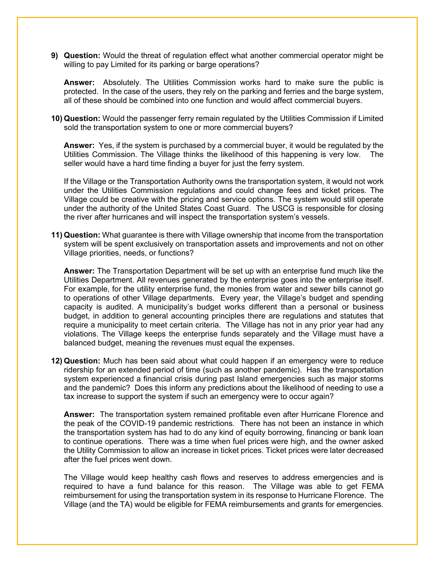**9) Question:** Would the threat of regulation effect what another commercial operator might be willing to pay Limited for its parking or barge operations?

**Answer:** Absolutely. The Utilities Commission works hard to make sure the public is protected. In the case of the users, they rely on the parking and ferries and the barge system, all of these should be combined into one function and would affect commercial buyers.

**10) Question:** Would the passenger ferry remain regulated by the Utilities Commission if Limited sold the transportation system to one or more commercial buyers?

**Answer:** Yes, if the system is purchased by a commercial buyer, it would be regulated by the Utilities Commission. The Village thinks the likelihood of this happening is very low. The seller would have a hard time finding a buyer for just the ferry system.

If the Village or the Transportation Authority owns the transportation system, it would not work under the Utilities Commission regulations and could change fees and ticket prices. The Village could be creative with the pricing and service options. The system would still operate under the authority of the United States Coast Guard. The USCG is responsible for closing the river after hurricanes and will inspect the transportation system's vessels.

**11) Question:** What guarantee is there with Village ownership that income from the transportation system will be spent exclusively on transportation assets and improvements and not on other Village priorities, needs, or functions?

**Answer:** The Transportation Department will be set up with an enterprise fund much like the Utilities Department. All revenues generated by the enterprise goes into the enterprise itself. For example, for the utility enterprise fund, the monies from water and sewer bills cannot go to operations of other Village departments. Every year, the Village's budget and spending capacity is audited. A municipality's budget works different than a personal or business budget, in addition to general accounting principles there are regulations and statutes that require a municipality to meet certain criteria. The Village has not in any prior year had any violations. The Village keeps the enterprise funds separately and the Village must have a balanced budget, meaning the revenues must equal the expenses.

**12) Question:** Much has been said about what could happen if an emergency were to reduce ridership for an extended period of time (such as another pandemic). Has the transportation system experienced a financial crisis during past Island emergencies such as major storms and the pandemic? Does this inform any predictions about the likelihood of needing to use a tax increase to support the system if such an emergency were to occur again?

**Answer:** The transportation system remained profitable even after Hurricane Florence and the peak of the COVID-19 pandemic restrictions. There has not been an instance in which the transportation system has had to do any kind of equity borrowing, financing or bank loan to continue operations. There was a time when fuel prices were high, and the owner asked the Utility Commission to allow an increase in ticket prices. Ticket prices were later decreased after the fuel prices went down.

The Village would keep healthy cash flows and reserves to address emergencies and is required to have a fund balance for this reason. The Village was able to get FEMA reimbursement for using the transportation system in its response to Hurricane Florence. The Village (and the TA) would be eligible for FEMA reimbursements and grants for emergencies.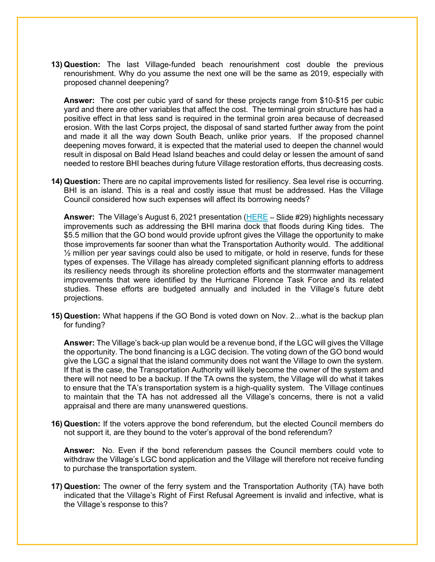**13) Question:** The last Village-funded beach renourishment cost double the previous renourishment. Why do you assume the next one will be the same as 2019, especially with proposed channel deepening?

**Answer:** The cost per cubic yard of sand for these projects range from \$10-\$15 per cubic yard and there are other variables that affect the cost. The terminal groin structure has had a positive effect in that less sand is required in the terminal groin area because of decreased erosion. With the last Corps project, the disposal of sand started further away from the point and made it all the way down South Beach, unlike prior years. If the proposed channel deepening moves forward, it is expected that the material used to deepen the channel would result in disposal on Bald Head Island beaches and could delay or lessen the amount of sand needed to restore BHI beaches during future Village restoration efforts, thus decreasing costs.

**14) Question:** There are no capital improvements listed for resiliency. Sea level rise is occurring. BHI is an island. This is a real and costly issue that must be addressed. Has the Village Council considered how such expenses will affect its borrowing needs?

**Answer:** The Village's August 6, 2021 presentation [\(HERE](https://villagebhi.org/wp-content/uploads/2021/08/2021-08-06-VBHI-Presentation-Informational-Meeting.pdf) – Slide #29) highlights necessary improvements such as addressing the BHI marina dock that floods during King tides. The \$5.5 million that the GO bond would provide upfront gives the Village the opportunity to make those improvements far sooner than what the Transportation Authority would. The additional  $\frac{1}{2}$  million per year savings could also be used to mitigate, or hold in reserve, funds for these types of expenses. The Village has already completed significant planning efforts to address its resiliency needs through its shoreline protection efforts and the stormwater management improvements that were identified by the Hurricane Florence Task Force and its related studies. These efforts are budgeted annually and included in the Village's future debt projections.

**15) Question:** What happens if the GO Bond is voted down on Nov. 2...what is the backup plan for funding?

**Answer:** The Village's back-up plan would be a revenue bond, if the LGC will gives the Village the opportunity. The bond financing is a LGC decision. The voting down of the GO bond would give the LGC a signal that the island community does not want the Village to own the system. If that is the case, the Transportation Authority will likely become the owner of the system and there will not need to be a backup. If the TA owns the system, the Village will do what it takes to ensure that the TA's transportation system is a high-quality system. The Village continues to maintain that the TA has not addressed all the Village's concerns, there is not a valid appraisal and there are many unanswered questions.

**16) Question:** If the voters approve the bond referendum, but the elected Council members do not support it, are they bound to the voter's approval of the bond referendum?

**Answer:** No. Even if the bond referendum passes the Council members could vote to withdraw the Village's LGC bond application and the Village will therefore not receive funding to purchase the transportation system.

**17) Question:** The owner of the ferry system and the Transportation Authority (TA) have both indicated that the Village's Right of First Refusal Agreement is invalid and infective, what is the Village's response to this?